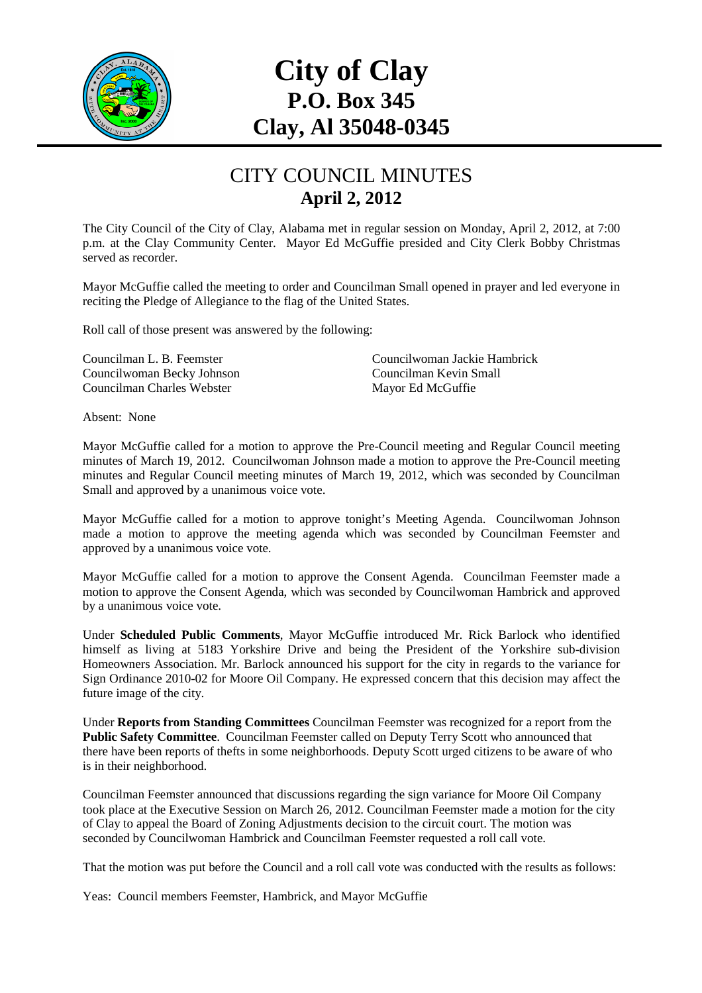

## **City of Clay P.O. Box 345 Clay, Al 35048-0345**

## CITY COUNCIL MINUTES **April 2, 2012**

The City Council of the City of Clay, Alabama met in regular session on Monday, April 2, 2012, at 7:00 p.m. at the Clay Community Center. Mayor Ed McGuffie presided and City Clerk Bobby Christmas served as recorder.

Mayor McGuffie called the meeting to order and Councilman Small opened in prayer and led everyone in reciting the Pledge of Allegiance to the flag of the United States.

Roll call of those present was answered by the following:

Councilwoman Becky Johnson Councilman Charles Webster Mayor Ed McGuffie

Councilman L. B. Feemster Councilwoman Jackie Hambrick

Absent: None

Mayor McGuffie called for a motion to approve the Pre-Council meeting and Regular Council meeting minutes of March 19, 2012. Councilwoman Johnson made a motion to approve the Pre-Council meeting minutes and Regular Council meeting minutes of March 19, 2012, which was seconded by Councilman Small and approved by a unanimous voice vote.

Mayor McGuffie called for a motion to approve tonight's Meeting Agenda. Councilwoman Johnson made a motion to approve the meeting agenda which was seconded by Councilman Feemster and approved by a unanimous voice vote.

Mayor McGuffie called for a motion to approve the Consent Agenda. Councilman Feemster made a motion to approve the Consent Agenda, which was seconded by Councilwoman Hambrick and approved by a unanimous voice vote.

Under **Scheduled Public Comments**, Mayor McGuffie introduced Mr. Rick Barlock who identified himself as living at 5183 Yorkshire Drive and being the President of the Yorkshire sub-division Homeowners Association. Mr. Barlock announced his support for the city in regards to the variance for Sign Ordinance 2010-02 for Moore Oil Company. He expressed concern that this decision may affect the future image of the city.

Under **Reports from Standing Committees** Councilman Feemster was recognized for a report from the Public Safety Committee. Councilman Feemster called on Deputy Terry Scott who announced that there have been reports of thefts in some neighborhoods. Deputy Scott urged citizens to be aware of who is in their neighborhood.

Councilman Feemster announced that discussions regarding the sign variance for Moore Oil Company took place at the Executive Session on March 26, 2012. Councilman Feemster made a motion for the city of Clay to appeal the Board of Zoning Adjustments decision to the circuit court. The motion was seconded by Councilwoman Hambrick and Councilman Feemster requested a roll call vote.

That the motion was put before the Council and a roll call vote was conducted with the results as follows:

Yeas: Council members Feemster, Hambrick, and Mayor McGuffie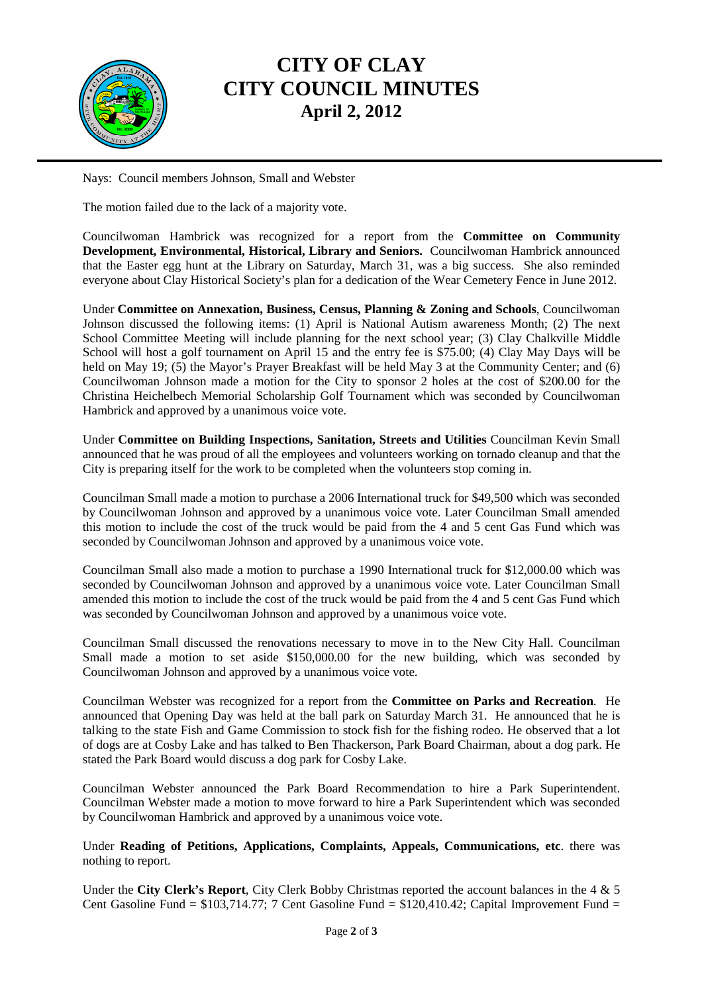

## **CITY OF CLAY CITY COUNCIL MINUTES April 2, 2012**

Nays: Council members Johnson, Small and Webster

The motion failed due to the lack of a majority vote.

Councilwoman Hambrick was recognized for a report from the **Committee on Community Development, Environmental, Historical, Library and Seniors.** Councilwoman Hambrick announced that the Easter egg hunt at the Library on Saturday, March 31, was a big success. She also reminded everyone about Clay Historical Society's plan for a dedication of the Wear Cemetery Fence in June 2012.

Under **Committee on Annexation, Business, Census, Planning & Zoning and Schools**, Councilwoman Johnson discussed the following items: (1) April is National Autism awareness Month; (2) The next School Committee Meeting will include planning for the next school year; (3) Clay Chalkville Middle School will host a golf tournament on April 15 and the entry fee is \$75.00; (4) Clay May Days will be held on May 19; (5) the Mayor's Prayer Breakfast will be held May 3 at the Community Center; and (6) Councilwoman Johnson made a motion for the City to sponsor 2 holes at the cost of \$200.00 for the Christina Heichelbech Memorial Scholarship Golf Tournament which was seconded by Councilwoman Hambrick and approved by a unanimous voice vote.

Under **Committee on Building Inspections, Sanitation, Streets and Utilities** Councilman Kevin Small announced that he was proud of all the employees and volunteers working on tornado cleanup and that the City is preparing itself for the work to be completed when the volunteers stop coming in.

Councilman Small made a motion to purchase a 2006 International truck for \$49,500 which was seconded by Councilwoman Johnson and approved by a unanimous voice vote. Later Councilman Small amended this motion to include the cost of the truck would be paid from the 4 and 5 cent Gas Fund which was seconded by Councilwoman Johnson and approved by a unanimous voice vote.

Councilman Small also made a motion to purchase a 1990 International truck for \$12,000.00 which was seconded by Councilwoman Johnson and approved by a unanimous voice vote. Later Councilman Small amended this motion to include the cost of the truck would be paid from the 4 and 5 cent Gas Fund which was seconded by Councilwoman Johnson and approved by a unanimous voice vote.

Councilman Small discussed the renovations necessary to move in to the New City Hall. Councilman Small made a motion to set aside \$150,000.00 for the new building, which was seconded by Councilwoman Johnson and approved by a unanimous voice vote.

Councilman Webster was recognized for a report from the **Committee on Parks and Recreation**. He announced that Opening Day was held at the ball park on Saturday March 31. He announced that he is talking to the state Fish and Game Commission to stock fish for the fishing rodeo. He observed that a lot of dogs are at Cosby Lake and has talked to Ben Thackerson, Park Board Chairman, about a dog park. He stated the Park Board would discuss a dog park for Cosby Lake.

Councilman Webster announced the Park Board Recommendation to hire a Park Superintendent. Councilman Webster made a motion to move forward to hire a Park Superintendent which was seconded by Councilwoman Hambrick and approved by a unanimous voice vote.

Under **Reading of Petitions, Applications, Complaints, Appeals, Communications, etc**. there was nothing to report.

Under the **City Clerk's Report**, City Clerk Bobby Christmas reported the account balances in the 4 & 5 Cent Gasoline Fund =  $$103,714.77$ ; 7 Cent Gasoline Fund =  $$120,410.42$ ; Capital Improvement Fund =